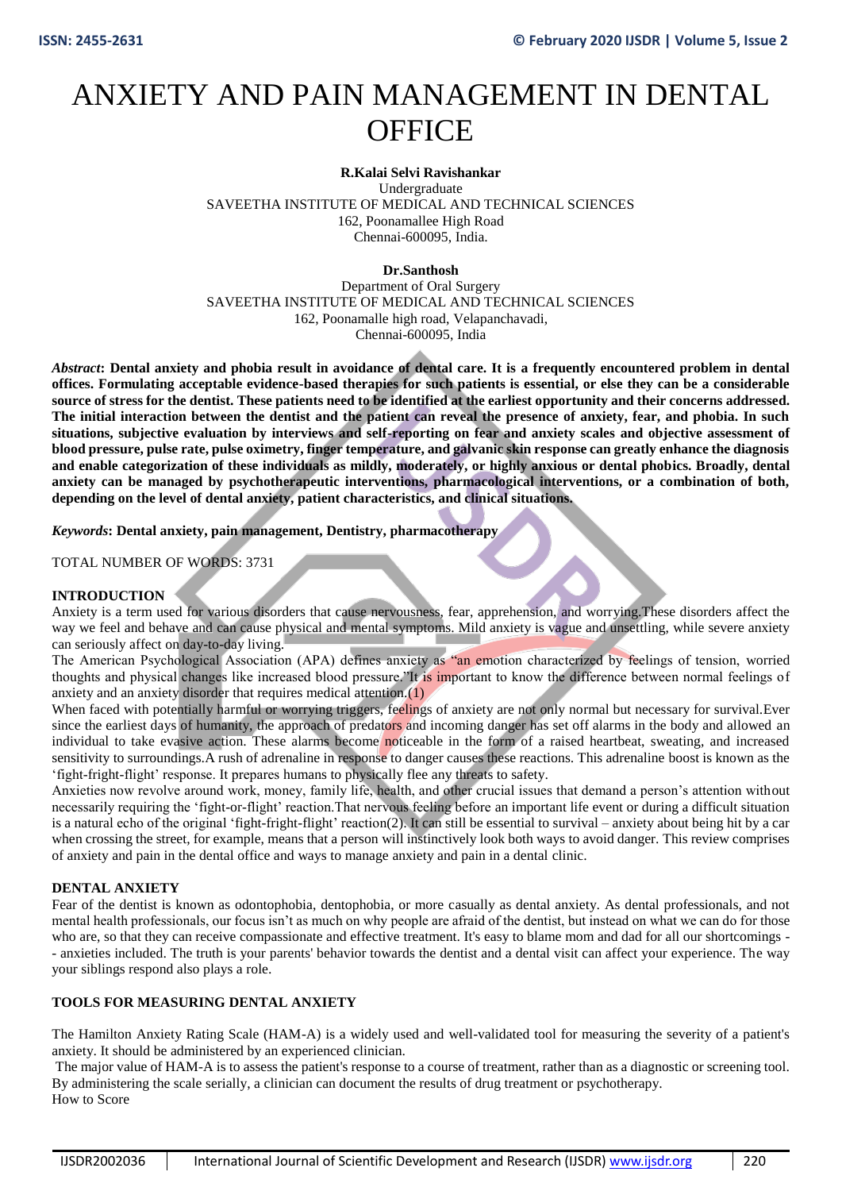# ANXIETY AND PAIN MANAGEMENT IN DENTAL **OFFICE**

## **R.Kalai Selvi Ravishankar**

Undergraduate SAVEETHA INSTITUTE OF MEDICAL AND TECHNICAL SCIENCES 162, Poonamallee High Road Chennai-600095, India.

## **Dr.Santhosh**

Department of Oral Surgery SAVEETHA INSTITUTE OF MEDICAL AND TECHNICAL SCIENCES 162, Poonamalle high road, Velapanchavadi, Chennai-600095, India

*Abstract***: Dental anxiety and phobia result in avoidance of dental care. It is a frequently encountered problem in dental offices. Formulating acceptable evidence-based therapies for such patients is essential, or else they can be a considerable source of stress for the dentist. These patients need to be identified at the earliest opportunity and their concerns addressed. The initial interaction between the dentist and the patient can reveal the presence of anxiety, fear, and phobia. In such situations, subjective evaluation by interviews and self-reporting on fear and anxiety scales and objective assessment of blood pressure, pulse rate, pulse oximetry, finger temperature, and galvanic skin response can greatly enhance the diagnosis and enable categorization of these individuals as mildly, moderately, or highly anxious or dental phobics. Broadly, dental anxiety can be managed by psychotherapeutic interventions, pharmacological interventions, or a combination of both, depending on the level of dental anxiety, patient characteristics, and clinical situations.**

*Keywords***: Dental anxiety, pain management, Dentistry, pharmacotherapy** 

TOTAL NUMBER OF WORDS: 3731

#### **INTRODUCTION**

Anxiety is a term used for various disorders that cause nervousness, fear, apprehension, and worrying.These disorders affect the way we feel and behave and can cause physical and mental symptoms. Mild anxiety is vague and unsettling, while severe anxiety can seriously affect on day-to-day living.

The American Psychological Association (APA) defines anxiety as "an emotion characterized by feelings of tension, worried thoughts and physical changes like increased blood pressure."It is important to know the difference between normal feelings of anxiety and an anxiety disorder that requires medical attention.(1)

When faced with potentially harmful or worrying triggers, feelings of anxiety are not only normal but necessary for survival. Ever since the earliest days of humanity, the approach of predators and incoming danger has set off alarms in the body and allowed an individual to take evasive action. These alarms become noticeable in the form of a raised heartbeat, sweating, and increased sensitivity to surroundings.A rush of adrenaline in response to danger causes these reactions. This adrenaline boost is known as the 'fight-fright-flight' response. It prepares humans to physically flee any threats to safety.

Anxieties now revolve around work, money, family life, health, and other crucial issues that demand a person's attention without necessarily requiring the 'fight-or-flight' reaction.That nervous feeling before an important life event or during a difficult situation is a natural echo of the original 'fight-fright-flight' reaction(2). It can still be essential to survival – anxiety about being hit by a car when crossing the street, for example, means that a person will instinctively look both ways to avoid danger. This review comprises of anxiety and pain in the dental office and ways to manage anxiety and pain in a dental clinic.

#### **DENTAL ANXIETY**

Fear of the dentist is known as odontophobia, dentophobia, or more casually as dental anxiety. As dental professionals, and not mental health professionals, our focus isn't as much on why people are afraid of the dentist, but instead on what we can do for those who are, so that they can receive compassionate and effective treatment. It's easy to blame mom and dad for all our shortcomings -- anxieties included. The truth is your parents' behavior towards the dentist and a dental visit can affect your experience. The way your siblings respond also plays a role.

## **TOOLS FOR MEASURING DENTAL ANXIETY**

The Hamilton Anxiety Rating Scale (HAM-A) is a widely used and well-validated tool for measuring the severity of a patient's anxiety. It should be administered by an experienced clinician.

The major value of HAM-A is to assess the patient's response to a course of treatment, rather than as a diagnostic or screening tool. By administering the scale serially, a clinician can document the results of drug treatment or psychotherapy. How to Score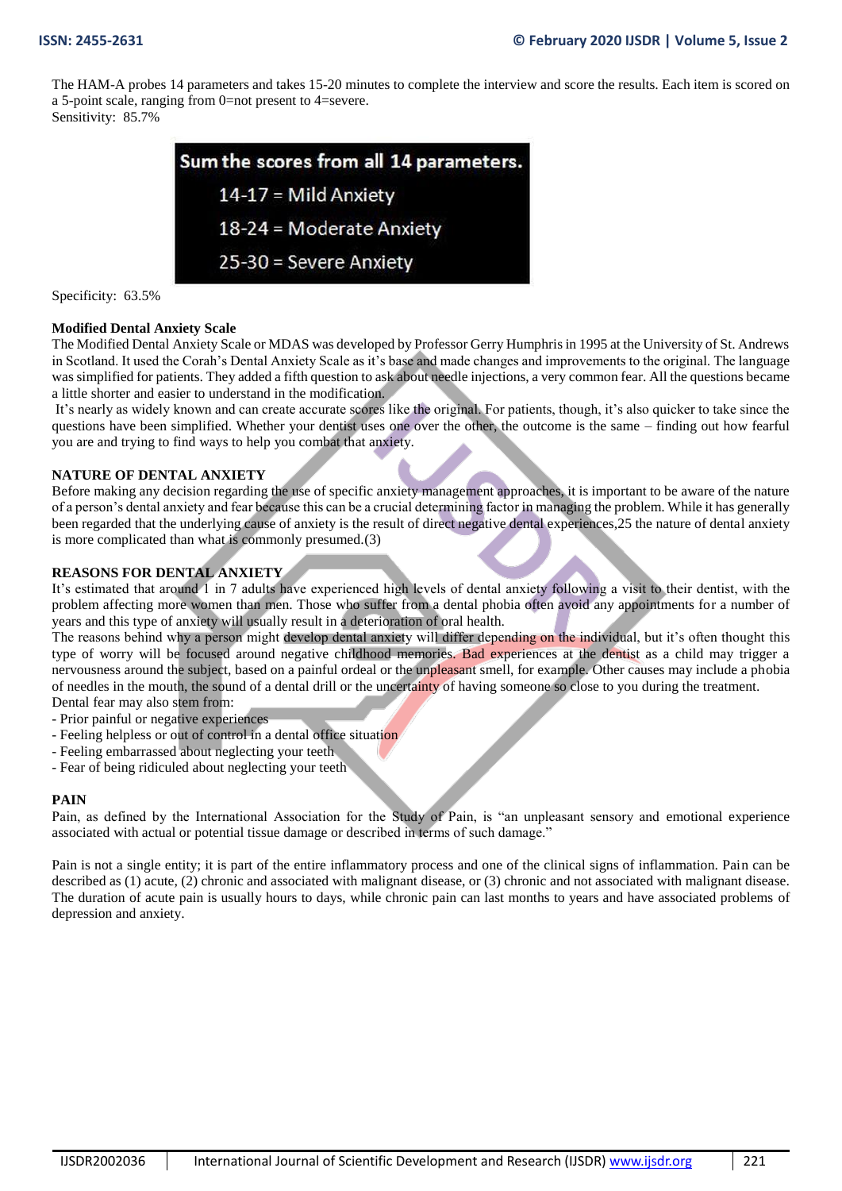The HAM-A probes 14 parameters and takes 15-20 minutes to complete the interview and score the results. Each item is scored on a 5-point scale, ranging from 0=not present to 4=severe.

Sensitivity: 85.7%



Specificity: 63.5%

## **Modified Dental Anxiety Scale**

The Modified Dental Anxiety Scale or MDAS was developed by Professor Gerry Humphris in 1995 at the University of St. Andrews in Scotland. It used the Corah's Dental Anxiety Scale as it's base and made changes and improvements to the original. The language was simplified for patients. They added a fifth question to ask about needle injections, a very common fear. All the questions became a little shorter and easier to understand in the modification.

It's nearly as widely known and can create accurate scores like the original. For patients, though, it's also quicker to take since the questions have been simplified. Whether your dentist uses one over the other, the outcome is the same – finding out how fearful you are and trying to find ways to help you combat that anxiety.

## **NATURE OF DENTAL ANXIETY**

Before making any decision regarding the use of specific anxiety management approaches, it is important to be aware of the nature of a person's dental anxiety and fear because this can be a crucial determining factor in managing the problem. While it has generally been regarded that the underlying cause of anxiety is the result of direct negative dental experiences,25 the nature of dental anxiety is more complicated than what is commonly presumed.(3)

# **REASONS FOR DENTAL ANXIETY**

It's estimated that around 1 in 7 adults have experienced high levels of dental anxiety following a visit to their dentist, with the problem affecting more women than men. Those who suffer from a dental phobia often avoid any appointments for a number of years and this type of anxiety will usually result in a deterioration of oral health.

The reasons behind why a person might develop dental anxiety will differ depending on the individual, but it's often thought this type of worry will be focused around negative childhood memories. Bad experiences at the dentist as a child may trigger a nervousness around the subject, based on a painful ordeal or the unpleasant smell, for example. Other causes may include a phobia of needles in the mouth, the sound of a dental drill or the uncertainty of having someone so close to you during the treatment. Dental fear may also stem from:

- Prior painful or negative experiences

- Feeling helpless or out of control in a dental office situation
- Feeling embarrassed about neglecting your teeth
- Fear of being ridiculed about neglecting your teeth

#### **PAIN**

Pain, as defined by the International Association for the Study of Pain, is "an unpleasant sensory and emotional experience associated with actual or potential tissue damage or described in terms of such damage."

Pain is not a single entity; it is part of the entire inflammatory process and one of the clinical signs of inflammation. Pain can be described as (1) acute, (2) chronic and associated with malignant disease, or (3) chronic and not associated with malignant disease. The duration of acute pain is usually hours to days, while chronic pain can last months to years and have associated problems of depression and anxiety.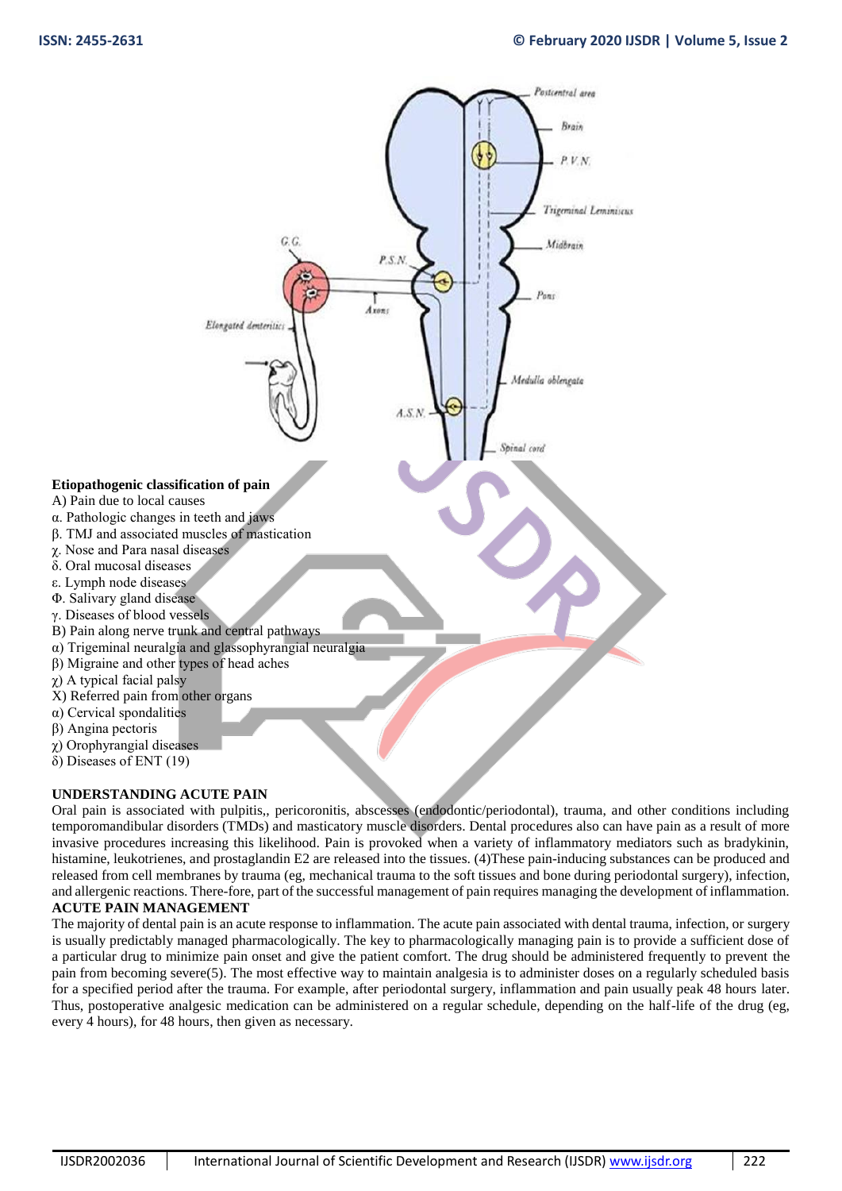

#### **UNDERSTANDING ACUTE PAIN**

Oral pain is associated with pulpitis,, pericoronitis, abscesses (endodontic/periodontal), trauma, and other conditions including temporomandibular disorders (TMDs) and masticatory muscle disorders. Dental procedures also can have pain as a result of more invasive procedures increasing this likelihood. Pain is provoked when a variety of inflammatory mediators such as bradykinin, histamine, leukotrienes, and prostaglandin E2 are released into the tissues. (4) These pain-inducing substances can be produced and released from cell membranes by trauma (eg, mechanical trauma to the soft tissues and bone during periodontal surgery), infection, and allergenic reactions. There-fore, part of the successful management of pain requires managing the development of inflammation. **ACUTE PAIN MANAGEMENT**

The majority of dental pain is an acute response to inflammation. The acute pain associated with dental trauma, infection, or surgery is usually predictably managed pharmacologically. The key to pharmacologically managing pain is to provide a sufficient dose of a particular drug to minimize pain onset and give the patient comfort. The drug should be administered frequently to prevent the pain from becoming severe(5). The most effective way to maintain analgesia is to administer doses on a regularly scheduled basis for a specified period after the trauma. For example, after periodontal surgery, inflammation and pain usually peak 48 hours later. Thus, postoperative analgesic medication can be administered on a regular schedule, depending on the half-life of the drug (eg, every 4 hours), for 48 hours, then given as necessary.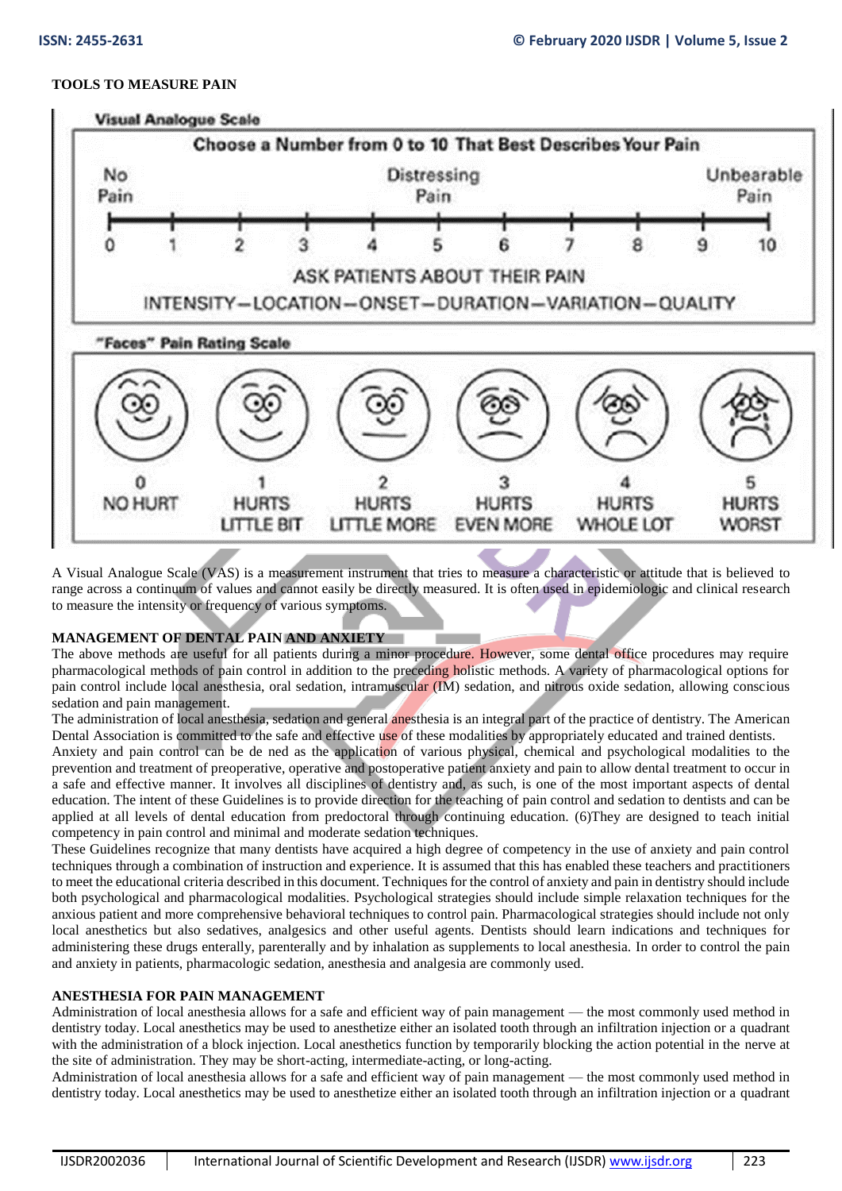# **TOOLS TO MEASURE PAIN**



A Visual Analogue Scale (VAS) is a measurement instrument that tries to measure a characteristic or attitude that is believed to range across a continuum of values and cannot easily be directly measured. It is often used in epidemiologic and clinical research to measure the intensity or frequency of various symptoms.

# **MANAGEMENT OF DENTAL PAIN AND ANXIETY**

The above methods are useful for all patients during a minor procedure. However, some dental office procedures may require pharmacological methods of pain control in addition to the preceding holistic methods. A variety of pharmacological options for pain control include local anesthesia, oral sedation, intramuscular (IM) sedation, and nitrous oxide sedation, allowing conscious sedation and pain management.

The administration of local anesthesia, sedation and general anesthesia is an integral part of the practice of dentistry. The American Dental Association is committed to the safe and effective use of these modalities by appropriately educated and trained dentists.

Anxiety and pain control can be de ned as the application of various physical, chemical and psychological modalities to the prevention and treatment of preoperative, operative and postoperative patient anxiety and pain to allow dental treatment to occur in a safe and effective manner. It involves all disciplines of dentistry and, as such, is one of the most important aspects of dental education. The intent of these Guidelines is to provide direction for the teaching of pain control and sedation to dentists and can be applied at all levels of dental education from predoctoral through continuing education. (6)They are designed to teach initial competency in pain control and minimal and moderate sedation techniques.

These Guidelines recognize that many dentists have acquired a high degree of competency in the use of anxiety and pain control techniques through a combination of instruction and experience. It is assumed that this has enabled these teachers and practitioners to meet the educational criteria described in this document. Techniques for the control of anxiety and pain in dentistry should include both psychological and pharmacological modalities. Psychological strategies should include simple relaxation techniques for the anxious patient and more comprehensive behavioral techniques to control pain. Pharmacological strategies should include not only local anesthetics but also sedatives, analgesics and other useful agents. Dentists should learn indications and techniques for administering these drugs enterally, parenterally and by inhalation as supplements to local anesthesia. In order to control the pain and anxiety in patients, pharmacologic sedation, anesthesia and analgesia are commonly used.

# **ANESTHESIA FOR PAIN MANAGEMENT**

Administration of local anesthesia allows for a safe and efficient way of pain management — the most commonly used method in dentistry today. Local anesthetics may be used to anesthetize either an isolated tooth through an infiltration injection or a quadrant with the administration of a block injection. Local anesthetics function by temporarily blocking the action potential in the nerve at the site of administration. They may be short-acting, intermediate-acting, or long-acting.

Administration of local anesthesia allows for a safe and efficient way of pain management — the most commonly used method in dentistry today. Local anesthetics may be used to anesthetize either an isolated tooth through an infiltration injection or a quadrant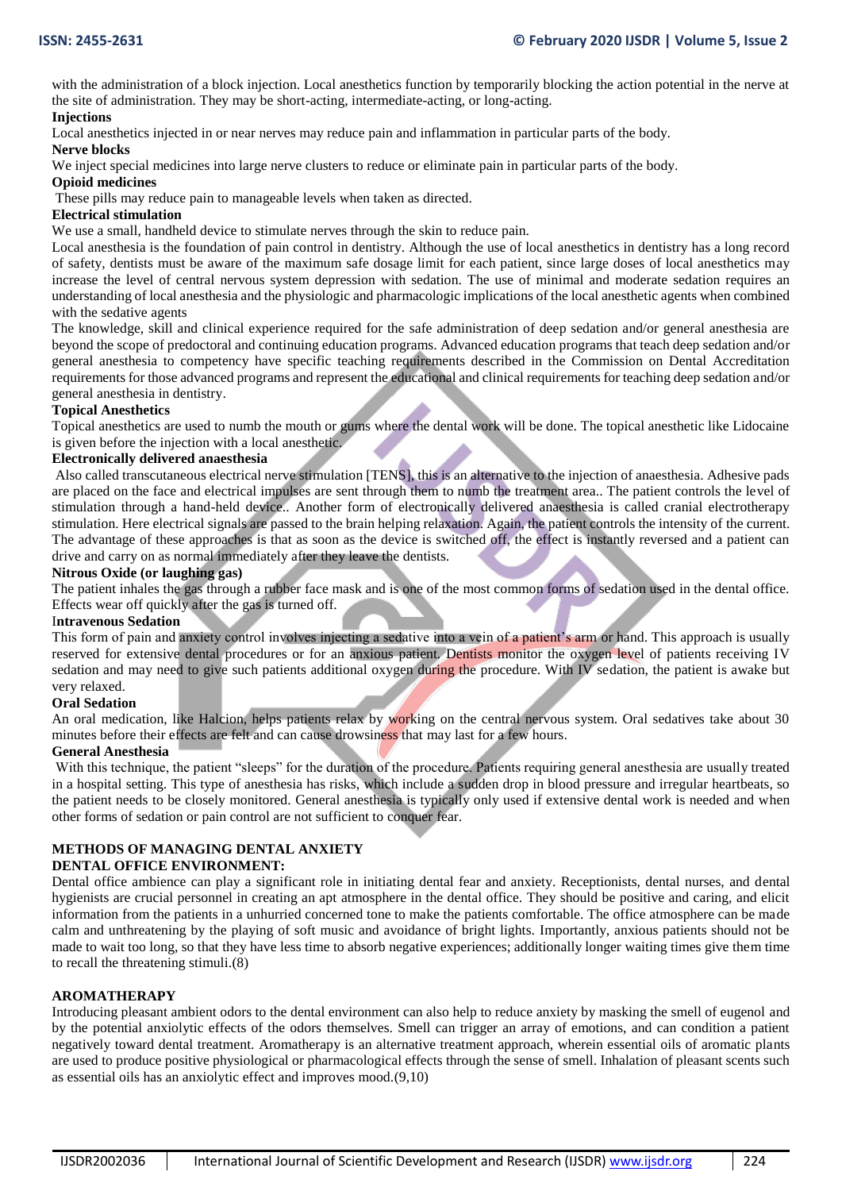with the administration of a block injection. Local anesthetics function by temporarily blocking the action potential in the nerve at the site of administration. They may be short-acting, intermediate-acting, or long-acting.

## **Injections**

Local anesthetics injected in or near nerves may reduce pain and inflammation in particular parts of the body.

#### **Nerve blocks**

We inject special medicines into large nerve clusters to reduce or eliminate pain in particular parts of the body.

## **Opioid medicines**

These pills may reduce pain to manageable levels when taken as directed.

## **Electrical stimulation**

We use a small, handheld device to stimulate nerves through the skin to reduce pain.

Local anesthesia is the foundation of pain control in dentistry. Although the use of local anesthetics in dentistry has a long record of safety, dentists must be aware of the maximum safe dosage limit for each patient, since large doses of local anesthetics may increase the level of central nervous system depression with sedation. The use of minimal and moderate sedation requires an understanding of local anesthesia and the physiologic and pharmacologic implications of the local anesthetic agents when combined with the sedative agents

The knowledge, skill and clinical experience required for the safe administration of deep sedation and/or general anesthesia are beyond the scope of predoctoral and continuing education programs. Advanced education programs that teach deep sedation and/or general anesthesia to competency have specific teaching requirements described in the Commission on Dental Accreditation requirements for those advanced programs and represent the educational and clinical requirements for teaching deep sedation and/or general anesthesia in dentistry.

#### **Topical Anesthetics**

Topical anesthetics are used to numb the mouth or gums where the dental work will be done. The topical anesthetic like Lidocaine is given before the injection with a local anesthetic.

#### **Electronically delivered anaesthesia**

Also called transcutaneous electrical nerve stimulation [TENS], this is an alternative to the injection of anaesthesia. Adhesive pads are placed on the face and electrical impulses are sent through them to numb the treatment area.. The patient controls the level of stimulation through a hand-held device.. Another form of electronically delivered anaesthesia is called cranial electrotherapy stimulation. Here electrical signals are passed to the brain helping relaxation. Again, the patient controls the intensity of the current. The advantage of these approaches is that as soon as the device is switched off, the effect is instantly reversed and a patient can drive and carry on as normal immediately after they leave the dentists.

## **Nitrous Oxide (or laughing gas)**

The patient inhales the gas through a rubber face mask and is one of the most common forms of sedation used in the dental office. Effects wear off quickly after the gas is turned off.

#### I**ntravenous Sedation**

This form of pain and anxiety control involves injecting a sedative into a vein of a patient's arm or hand. This approach is usually reserved for extensive dental procedures or for an anxious patient. Dentists monitor the oxygen level of patients receiving IV sedation and may need to give such patients additional oxygen during the procedure. With IV sedation, the patient is awake but very relaxed.

#### **Oral Sedation**

An oral medication, like Halcion, helps patients relax by working on the central nervous system. Oral sedatives take about 30 minutes before their effects are felt and can cause drowsiness that may last for a few hours.

#### **General Anesthesia**

With this technique, the patient "sleeps" for the duration of the procedure. Patients requiring general anesthesia are usually treated in a hospital setting. This type of anesthesia has risks, which include a sudden drop in blood pressure and irregular heartbeats, so the patient needs to be closely monitored. General anesthesia is typically only used if extensive dental work is needed and when other forms of sedation or pain control are not sufficient to conquer fear.

# **METHODS OF MANAGING DENTAL ANXIETY**

#### **DENTAL OFFICE ENVIRONMENT:**

Dental office ambience can play a significant role in initiating dental fear and anxiety. Receptionists, dental nurses, and dental hygienists are crucial personnel in creating an apt atmosphere in the dental office. They should be positive and caring, and elicit information from the patients in a unhurried concerned tone to make the patients comfortable. The office atmosphere can be made calm and unthreatening by the playing of soft music and avoidance of bright lights. Importantly, anxious patients should not be made to wait too long, so that they have less time to absorb negative experiences; additionally longer waiting times give them time to recall the threatening stimuli.(8)

#### **AROMATHERAPY**

Introducing pleasant ambient odors to the dental environment can also help to reduce anxiety by masking the smell of eugenol and by the potential anxiolytic effects of the odors themselves. Smell can trigger an array of emotions, and can condition a patient negatively toward dental treatment. Aromatherapy is an alternative treatment approach, wherein essential oils of aromatic plants are used to produce positive physiological or pharmacological effects through the sense of smell. Inhalation of pleasant scents such as essential oils has an anxiolytic effect and improves mood.(9,10)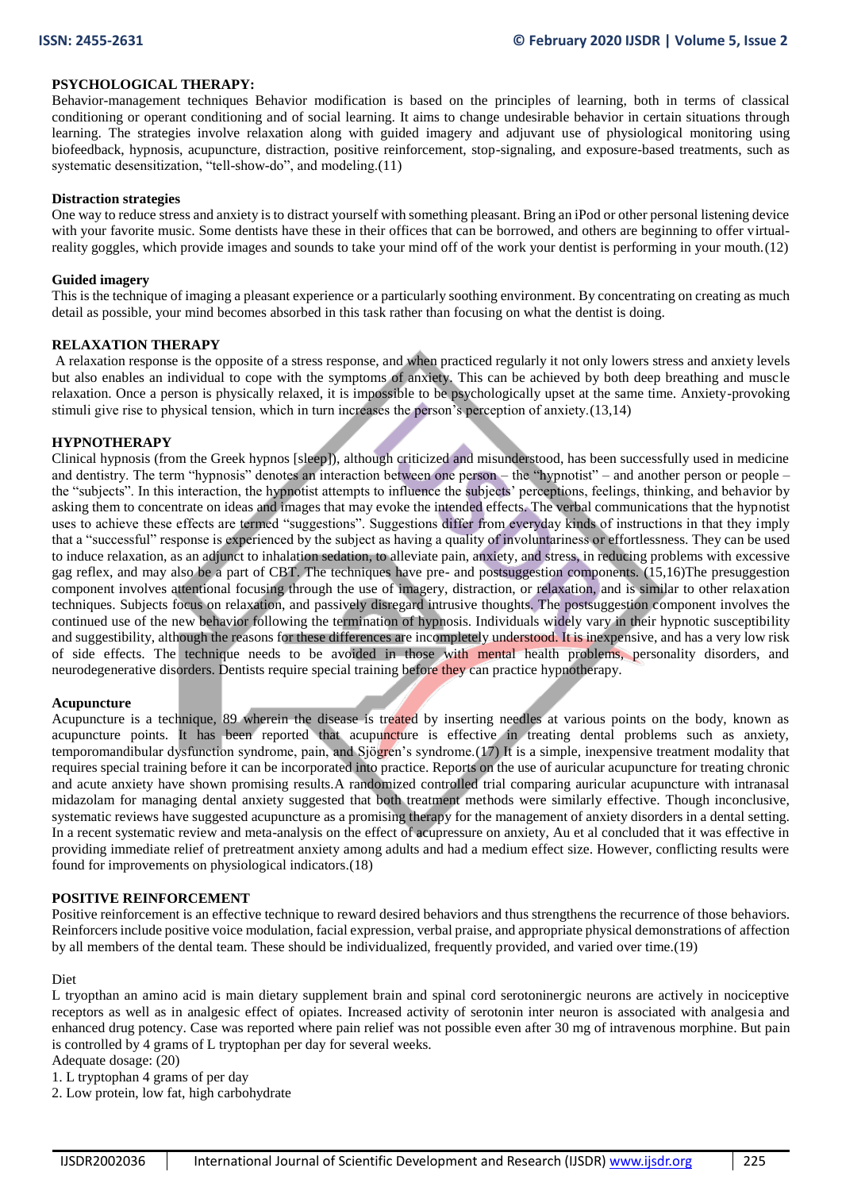## **PSYCHOLOGICAL THERAPY:**

Behavior-management techniques Behavior modification is based on the principles of learning, both in terms of classical conditioning or operant conditioning and of social learning. It aims to change undesirable behavior in certain situations through learning. The strategies involve relaxation along with guided imagery and adjuvant use of physiological monitoring using biofeedback, hypnosis, acupuncture, distraction, positive reinforcement, stop-signaling, and exposure-based treatments, such as systematic desensitization, "tell-show-do", and modeling.(11)

#### **Distraction strategies**

One way to reduce stress and anxiety is to distract yourself with something pleasant. Bring an iPod or other personal listening device with your favorite music. Some dentists have these in their offices that can be borrowed, and others are beginning to offer virtualreality goggles, which provide images and sounds to take your mind off of the work your dentist is performing in your mouth.(12)

#### **Guided imagery**

This is the technique of imaging a pleasant experience or a particularly soothing environment. By concentrating on creating as much detail as possible, your mind becomes absorbed in this task rather than focusing on what the dentist is doing.

#### **RELAXATION THERAPY**

A relaxation response is the opposite of a stress response, and when practiced regularly it not only lowers stress and anxiety levels but also enables an individual to cope with the symptoms of anxiety. This can be achieved by both deep breathing and muscle relaxation. Once a person is physically relaxed, it is impossible to be psychologically upset at the same time. Anxiety-provoking stimuli give rise to physical tension, which in turn increases the person's perception of anxiety.(13,14)

#### **HYPNOTHERAPY**

Clinical hypnosis (from the Greek hypnos [sleep]), although criticized and misunderstood, has been successfully used in medicine and dentistry. The term "hypnosis" denotes an interaction between one person – the "hypnotist" – and another person or people – the "subjects". In this interaction, the hypnotist attempts to influence the subjects' perceptions, feelings, thinking, and behavior by asking them to concentrate on ideas and images that may evoke the intended effects. The verbal communications that the hypnotist uses to achieve these effects are termed "suggestions". Suggestions differ from everyday kinds of instructions in that they imply that a "successful" response is experienced by the subject as having a quality of involuntariness or effortlessness. They can be used to induce relaxation, as an adjunct to inhalation sedation, to alleviate pain, anxiety, and stress, in reducing problems with excessive gag reflex, and may also be a part of CBT. The techniques have pre- and postsuggestion components. (15,16)The presuggestion component involves attentional focusing through the use of imagery, distraction, or relaxation, and is similar to other relaxation techniques. Subjects focus on relaxation, and passively disregard intrusive thoughts. The postsuggestion component involves the continued use of the new behavior following the termination of hypnosis. Individuals widely vary in their hypnotic susceptibility and suggestibility, although the reasons for these differences are incompletely understood. It is inexpensive, and has a very low risk of side effects. The technique needs to be avoided in those with mental health problems, personality disorders, and neurodegenerative disorders. Dentists require special training before they can practice hypnotherapy.

#### **Acupuncture**

Acupuncture is a technique, 89 wherein the disease is treated by inserting needles at various points on the body, known as acupuncture points. It has been reported that acupuncture is effective in treating dental problems such as anxiety, temporomandibular dysfunction syndrome, pain, and Sjögren's syndrome.(17) It is a simple, inexpensive treatment modality that requires special training before it can be incorporated into practice. Reports on the use of auricular acupuncture for treating chronic and acute anxiety have shown promising results.A randomized controlled trial comparing auricular acupuncture with intranasal midazolam for managing dental anxiety suggested that both treatment methods were similarly effective. Though inconclusive, systematic reviews have suggested acupuncture as a promising therapy for the management of anxiety disorders in a dental setting. In a recent systematic review and meta-analysis on the effect of acupressure on anxiety, Au et al concluded that it was effective in providing immediate relief of pretreatment anxiety among adults and had a medium effect size. However, conflicting results were found for improvements on physiological indicators.(18)

#### **POSITIVE REINFORCEMENT**

Positive reinforcement is an effective technique to reward desired behaviors and thus strengthens the recurrence of those behaviors. Reinforcers include positive voice modulation, facial expression, verbal praise, and appropriate physical demonstrations of affection by all members of the dental team. These should be individualized, frequently provided, and varied over time.(19)

#### Diet

L tryopthan an amino acid is main dietary supplement brain and spinal cord serotoninergic neurons are actively in nociceptive receptors as well as in analgesic effect of opiates. Increased activity of serotonin inter neuron is associated with analgesia and enhanced drug potency. Case was reported where pain relief was not possible even after 30 mg of intravenous morphine. But pain is controlled by 4 grams of L tryptophan per day for several weeks.

Adequate dosage: (20)

1. L tryptophan 4 grams of per day

2. Low protein, low fat, high carbohydrate